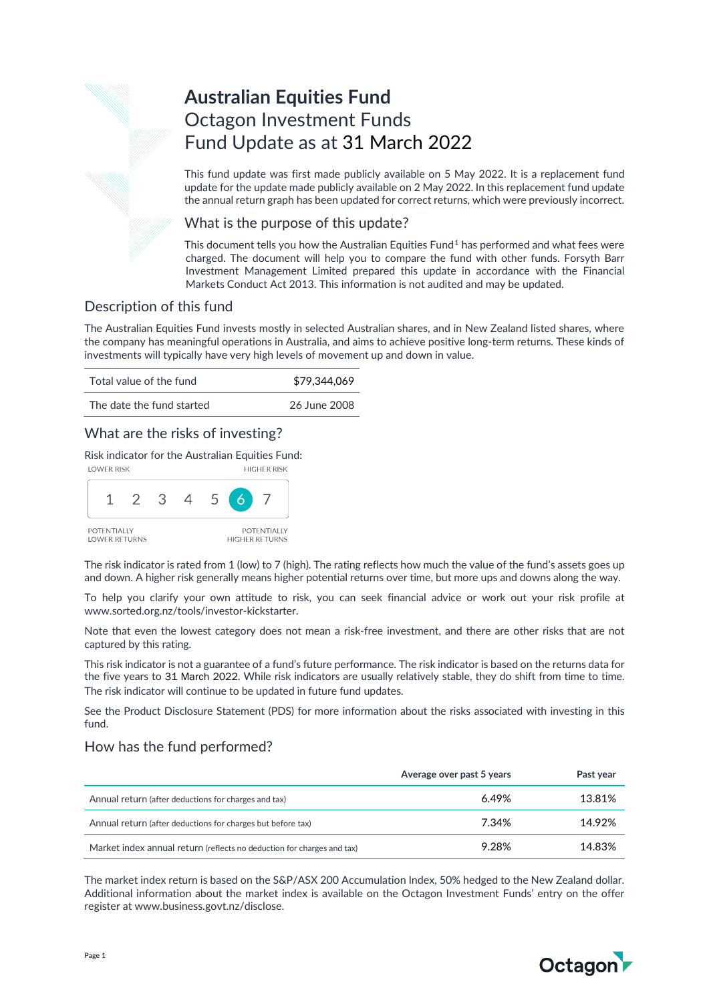# **Australian Equities Fund** Octagon Investment Funds Fund Update as at 31 March 2022

This fund update was first made publicly available on 5 May 2022. It is a replacement fund update for the update made publicly available on 2 May 2022. In this replacement fund update the annual return graph has been updated for correct returns, which were previously incorrect.

### What is the purpose of this update?

This document tells you how the Australian Equities Fund<sup>[1](#page-2-0)</sup> has performed and what fees were charged. The document will help you to compare the fund with other funds. Forsyth Barr Investment Management Limited prepared this update in accordance with the Financial Markets Conduct Act 2013. This information is not audited and may be updated.

# Description of this fund

The Australian Equities Fund invests mostly in selected Australian shares, and in New Zealand listed shares, where the company has meaningful operations in Australia, and aims to achieve positive long-term returns. These kinds of investments will typically have very high levels of movement up and down in value.

| Total value of the fund   | \$79,344,069 |
|---------------------------|--------------|
| The date the fund started | 26 June 2008 |

# What are the risks of investing?

Risk indicator for the Australian Equities Fund:



The risk indicator is rated from 1 (low) to 7 (high). The rating reflects how much the value of the fund's assets goes up and down. A higher risk generally means higher potential returns over time, but more ups and downs along the way.

To help you clarify your own attitude to risk, you can seek financial advice or work out your risk profile at [www.sorted.org.nz/tools/investor-kickstarter.](http://www.sorted.org.nz/tools/investor-kickstarter) 

Note that even the lowest category does not mean a risk-free investment, and there are other risks that are not captured by this rating.

This risk indicator is not a guarantee of a fund's future performance. The risk indicator is based on the returns data for the five years to 31 March 2022. While risk indicators are usually relatively stable, they do shift from time to time. The risk indicator will continue to be updated in future fund updates.

See the Product Disclosure Statement (PDS) for more information about the risks associated with investing in this fund.

### How has the fund performed?

|                                                                        | Average over past 5 years | Past year |
|------------------------------------------------------------------------|---------------------------|-----------|
| Annual return (after deductions for charges and tax)                   | 6.49%                     | 13.81%    |
| Annual return (after deductions for charges but before tax)            | 7.34%                     | 14.92%    |
| Market index annual return (reflects no deduction for charges and tax) | 9.28%                     | 14.83%    |

The market index return is based on the S&P/ASX 200 Accumulation Index, 50% hedged to the New Zealand dollar. Additional information about the market index is available on the Octagon Investment Funds' entry on the offer register at [www.business.govt.nz/disclose.](http://www.business.govt.nz/disclose)

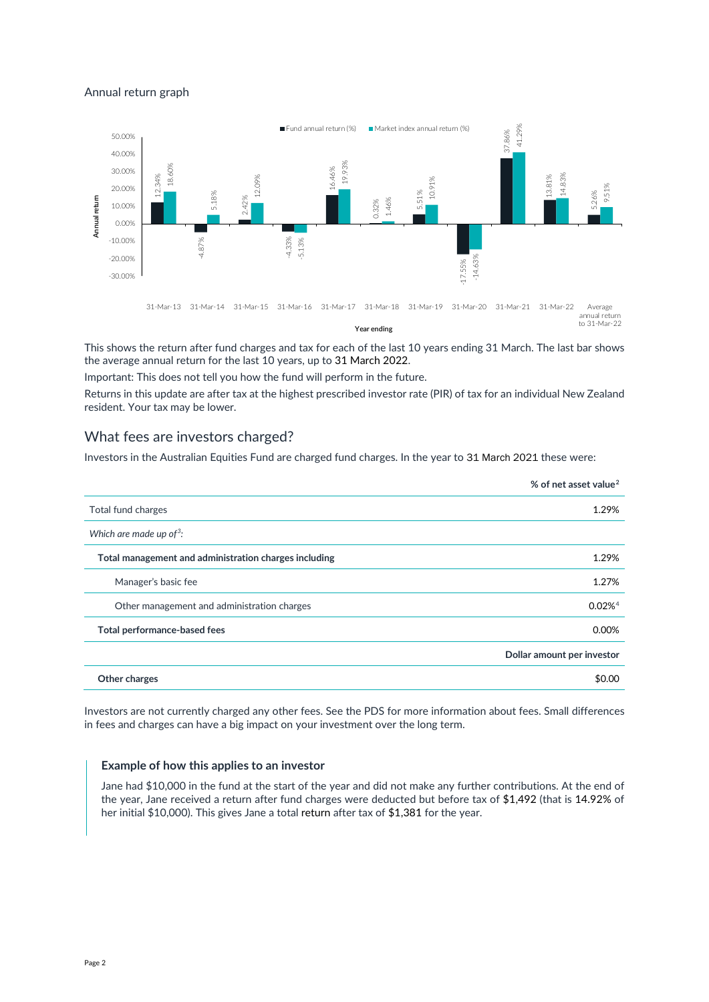### Annual return graph



This shows the return after fund charges and tax for each of the last 10 years ending 31 March. The last bar shows the average annual return for the last 10 years, up to 31 March 2022.

Important: This does not tell you how the fund will perform in the future.

Returns in this update are after tax at the highest prescribed investor rate (PIR) of tax for an individual New Zealand resident. Your tax may be lower.

### What fees are investors charged?

Investors in the Australian Equities Fund are charged fund charges. In the year to 31 March 2021 these were:

|                                                       | % of net asset value <sup>2</sup> |
|-------------------------------------------------------|-----------------------------------|
| Total fund charges                                    | 1.29%                             |
| Which are made up of <sup>3</sup> :                   |                                   |
| Total management and administration charges including | 1.29%                             |
| Manager's basic fee                                   | 1.27%                             |
| Other management and administration charges           | $0.02\%$ <sup>4</sup>             |
| Total performance-based fees                          | 0.00%                             |
|                                                       | Dollar amount per investor        |
| Other charges                                         | \$0.00                            |

Investors are not currently charged any other fees. See the PDS for more information about fees. Small differences in fees and charges can have a big impact on your investment over the long term.

#### **Example of how this applies to an investor**

Jane had \$10,000 in the fund at the start of the year and did not make any further contributions. At the end of the year, Jane received a return after fund charges were deducted but before tax of \$1,492 (that is 14.92% of her initial \$10,000). This gives Jane a total return after tax of \$1,381 for the year.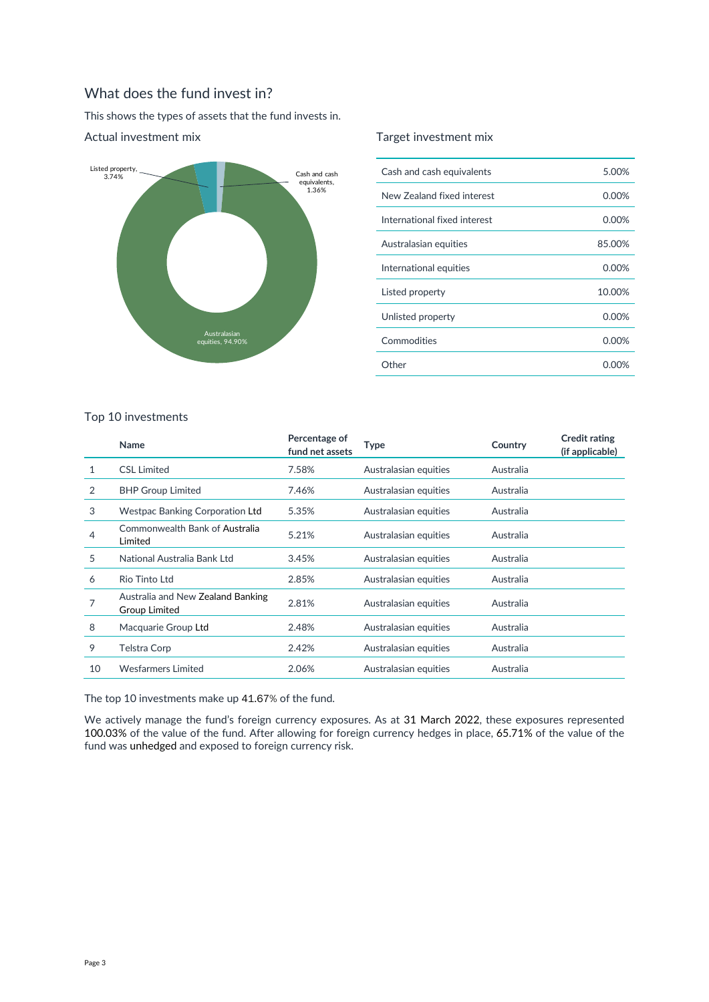# What does the fund invest in?

This shows the types of assets that the fund invests in.



### Actual investment mix

### Target investment mix

| Cash and cash equivalents    | 5.00%    |
|------------------------------|----------|
| New Zealand fixed interest   | 0.00%    |
| International fixed interest | $0.00\%$ |
| Australasian equities        | 85.00%   |
| International equities       | 0.00%    |
| Listed property              | 10.00%   |
| Unlisted property            | 0.00%    |
| Commodities                  | 0.00%    |
| Other                        | 0.00%    |

#### Top 10 investments

<span id="page-2-2"></span><span id="page-2-1"></span><span id="page-2-0"></span>

|    | <b>Name</b>                                               | Percentage of<br>fund net assets | Type                  | Country   | <b>Credit rating</b><br>(if applicable) |
|----|-----------------------------------------------------------|----------------------------------|-----------------------|-----------|-----------------------------------------|
| 1  | <b>CSL Limited</b>                                        | 7.58%                            | Australasian equities | Australia |                                         |
| 2  | <b>BHP Group Limited</b>                                  | 7.46%                            | Australasian equities | Australia |                                         |
| 3  | <b>Westpac Banking Corporation Ltd</b>                    | 5.35%                            | Australasian equities | Australia |                                         |
| 4  | Commonwealth Bank of Australia<br>Limited                 | 5.21%                            | Australasian equities | Australia |                                         |
| 5  | National Australia Bank Ltd                               | 3.45%                            | Australasian equities | Australia |                                         |
| 6  | Rio Tinto Ltd                                             | 2.85%                            | Australasian equities | Australia |                                         |
| 7  | Australia and New Zealand Banking<br><b>Group Limited</b> | 2.81%                            | Australasian equities | Australia |                                         |
| 8  | Macquarie Group Ltd                                       | 2.48%                            | Australasian equities | Australia |                                         |
| 9  | Telstra Corp                                              | 2.42%                            | Australasian equities | Australia |                                         |
| 10 | <b>Wesfarmers Limited</b>                                 | 2.06%                            | Australasian equities | Australia |                                         |

<span id="page-2-3"></span>The top 10 investments make up 41.67% of the fund.

We actively manage the fund's foreign currency exposures. As at 31 March 2022, these exposures represented 100.03% of the value of the fund. After allowing for foreign currency hedges in place, 65.71% of the value of the fund was unhedged and exposed to foreign currency risk.